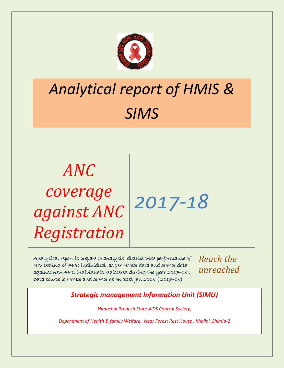

# *Analytical report of HMIS & SIMS*

## *ANC coverage against ANC Registration*

*2017-18*

Analytical report is prepare to analysis district wise performance of HIV testing of ANC individual as per HMIS data and SIMS data against new ANC individuals registered during the year 2017-18 . Data source is HMIS and SIMS as on 31st jan 2018 ( 2017-18)

*Reach the unreached*

*Strategic management Information Unit (SIMU)*

*Himachal Pradesh State AIDS Control Society,*

*Department of Health & family Welfare, Near Forest Rest House , Khalini, Shimla-2*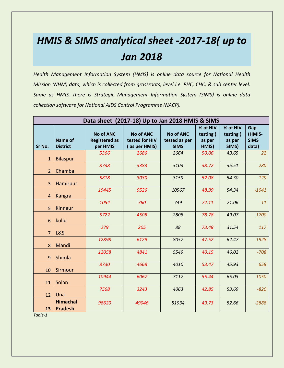### *HMIS & SIMS analytical sheet -2017-18( up to Jan 2018*

*Health Management Information System (HMIS) is online data source for National Health Mission (NHM) data, which is collected from grassroots, level i.e. PHC, CHC, & sub center level. Same as HMIS, there is Strategic Management Information System (SIMS) is online data collection software for National AIDS Control Programme (NACP).* 

| Data sheet (2017-18) Up to Jan 2018 HMIS & SIMS |                                   |                      |                  |                  |           |           |             |
|-------------------------------------------------|-----------------------------------|----------------------|------------------|------------------|-----------|-----------|-------------|
|                                                 |                                   |                      |                  |                  | % of HIV  | % of HIV  | Gap         |
|                                                 |                                   | <b>No of ANC</b>     | <b>No of ANC</b> | <b>No of ANC</b> | testing ( | testing ( | (HMIS-      |
|                                                 | Name of                           | <b>Registered as</b> | tested for HIV   | tested as per    | as per    | as per    | <b>SIMS</b> |
| Sr No.                                          | <b>District</b>                   | per HMIS             | as per HMIS)     | <b>SIMS</b>      | HMIS)     | SIMS)     | data)       |
| $\mathbf{1}$                                    | <b>Bilaspur</b>                   | 5366                 | 2686             | 2664             | 50.06     | 49.65     | 22          |
|                                                 |                                   | 8738                 | 3383             | 3103             | 38.72     | 35.51     | 280         |
| $\overline{2}$                                  | Chamba                            |                      |                  |                  |           |           |             |
| $\overline{3}$                                  | Hamirpur                          | 5818                 | 3030             | 3159             | 52.08     | 54.30     | $-129$      |
|                                                 |                                   | 19445                | 9526             | 10567            | 48.99     | 54.34     | $-1041$     |
| $\overline{4}$                                  | <b>Kangra</b>                     |                      |                  |                  |           |           |             |
| 5                                               | Kinnaur                           | 1054                 | 760              | 749              | 72.11     | 71.06     | 11          |
| $6\phantom{1}$                                  | kullu                             | 5722                 | 4508             | 2808             | 78.78     | 49.07     | 1700        |
| $\overline{7}$                                  | <b>L&amp;S</b>                    | 279                  | 205              | 88               | 73.48     | 31.54     | 117         |
| 8                                               | Mandi                             | 12898                | 6129             | 8057             | 47.52     | 62.47     | $-1928$     |
| 9                                               | Shimla                            | 12058                | 4841             | 5549             | 40.15     | 46.02     | $-708$      |
| 10                                              | <b>Sirmour</b>                    | 8730                 | 4668             | 4010             | 53.47     | 45.93     | 658         |
| 11                                              | Solan                             | 10944                | 6067             | 7117             | 55.44     | 65.03     | $-1050$     |
| 12                                              | Una                               | 7568                 | 3243             | 4063             | 42.85     | 53.69     | $-820$      |
| 13                                              | <b>Himachal</b><br><b>Pradesh</b> | 98620                | 49046            | 51934            | 49.73     | 52.66     | $-2888$     |

*Table-1*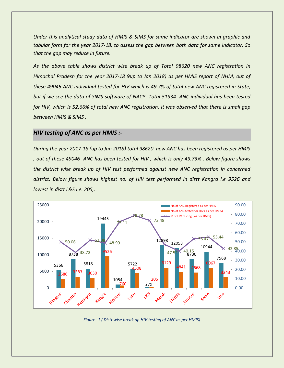*Under this analytical study data of HMIS & SIMS for same indicator are shown in graphic and tabular form for the year 2017-18, to assess the gap between both data for same indicator. So that the gap may reduce in future.*

*As the above table shows district wise break up of Total 98620 new ANC registration in Himachal Pradesh for the year 2017-18 9up to Jan 2018) as per HMIS report of NHM, out of these 49046 ANC individual tested for HIV which is 49.7% of total new ANC registered in State, but if we see the data of SIMS software of NACP Total 51934 ANC individual has been tested for HIV, which is 52.66% of total new ANC registration. It was observed that there is small gap between HMIS & SIMS .*

#### *HIV testing of ANC as per HMIS :-*

*During the year 2017-18 (up to Jan 2018) total 98620 new ANC has been registered as per HMIS , out of these 49046 ANC has been tested for HIV , which is only 49.73% . Below figure shows the district wise break up of HIV test performed against new ANC registration in concerned district. Below figure shows highest no. of HIV test performed in distt Kangra i.e 9526 and lowest in distt L&S i.e. 205,.*



*Figure:-1 ( Distt wise break up HIV testing of ANC as per HMIS)*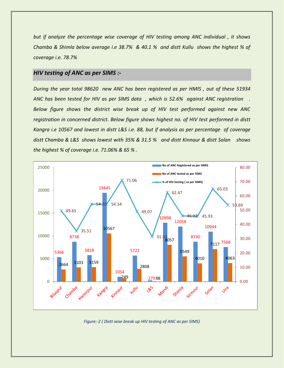*but if analyze the percentage wise coverage of HIV testing among ANC individual , it shows Chamba & Shimla below average i.e 38.7% & 40.1 % and distt Kullu shows the highest % of coverage i.e. 78.7%*

#### *HIV testing of ANC as per SIMS :-*

*During the year total 98620 new ANC has been registered as per HMIS , out of these 51934 ANC has been tested for HIV as per SIMS data , which is 52.6% against ANC registration . Below figure shows the district wise break up of HIV test performed against new ANC registration in concerned district. Below figure shows highest no. of HIV test performed in distt Kangra i.e 10567 and lowest in distt L&S i.e. 88, but if analysis as per percentage of coverage distt Chamba & L&S shows lowest with 35% & 31.5 % and distt Kinnaur & distt Solan shows the highest % of coverage i.e. 71.06% & 65 % .*



*Figure:-2 ( Distt wise break up HIV testing of ANC as per SIMS)*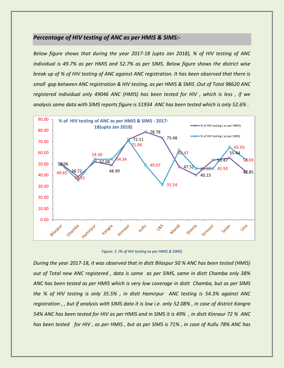#### *Percentage of HIV testing of ANC as per HMIS & SIMS:-*

*Below figure shows that during the year 2017-18 (upto Jan 2018), % of HIV testing of ANC individual is 49.7% as per HMIS and 52.7% as per SIMS. Below figure shows the district wise break up of % of HIV testing of ANC against ANC registration. It has been observed that there is small gap between ANC registration & HIV testing, as per HMIS & SMIS .Out of Total 98620 ANC registered individual only 49046 ANC (HMIS) has been tested for HIV , which is less , if we analysis same data with SIMS reports figure is 51934 ANC has been tested which is only 52.6% .*



*Figure: 3 (% of HIV testing as per HMIS & SIMS)*

*During the year 2017-18, it was observed that in distt Bilaspur 50 % ANC has been tested (HMIS) out of Total new ANC registered , data is same as per SIMS, same in distt Chamba only 38% ANC has been tested as per HMIS which is very low coverage in distt Chamba, but as per SIMS the % of HIV testing is only 35.5% , in distt Hamirpur ANC testing is 54.3% against ANC registration , , but if analysis with SIMS data it is low i.e. only 52.08% , in case of district Kangra 54% ANC has been tested for HIV as per HMIS and in SIMS it is 49% , in distt Kinnaur 72 % ANC has been tested for HIV , as per HMIS , but as per SIMS is 71% , in case of Kullu 78% ANC has*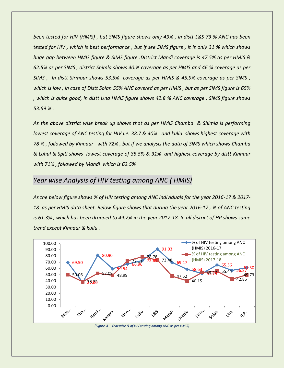*been tested for HIV (HMIS) , but SIMS figure shows only 49% , in distt L&S 73 % ANC has been tested for HIV , which is best performance , but if see SIMS figure , it is only 31 % which shows huge gap between HMIS figure & SIMS figure .District Mandi coverage is 47.5% as per HMIS & 62.5% as per SIMS , district Shimla shows 40.% coverage as per HMIS and 46 % coverage as per SIMS , In distt Sirmour shows 53.5% coverage as per HMIS & 45.9% coverage as per SIMS , which is low , in case of Distt Solan 55% ANC covered as per HMIS , but as per SIMS figure is 65% , which is quite good, in distt Una HMIS figure shows 42.8 % ANC coverage , SIMS figure shows 53.69 % .*

*As the above district wise break up shows that as per HMIS Chamba & Shimla is performing lowest coverage of ANC testing for HIV i.e. 38.7 & 40% and kullu shows highest coverage with 78 % , followed by Kinnaur with 72% , but if we analysis the data of SIMS which shows Chamba & Lahul & Spiti shows lowest coverage of 35.5% & 31% and highest coverage by distt Kinnaur with 71% , followed by Mandi which is 62.5%* 

#### *Year wise Analysis of HIV testing among ANC ( HMIS)*

*As the below figure shows % of HIV testing among ANC individuals for the year 2016-17 & 2017- 18 as per HMIS data sheet. Below figure shows that during the year 2016-17 , % of ANC testing is 61.3% , which has been dropped to 49.7% in the year 2017-18. In all district of HP shows same trend except Kinnaur & kullu .*



*(Figure-4 – Year wise & of HIV testing among ANC as per HMIS)*